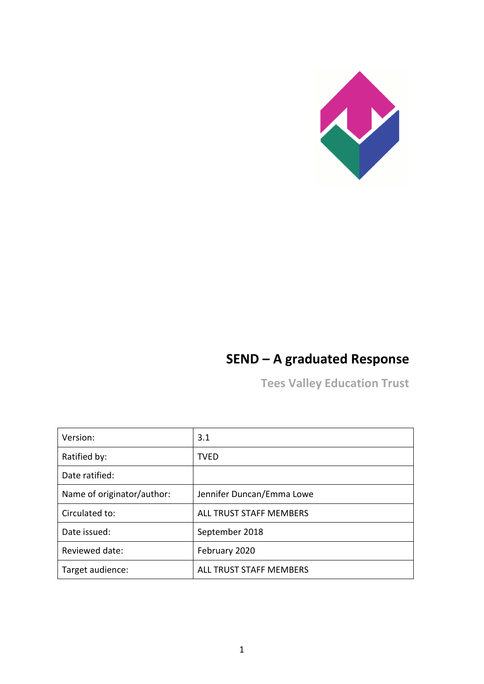

# **SEND – A graduated Response**

**Tees Valley Education Trust**

| Version:                   | 3.1                       |
|----------------------------|---------------------------|
| Ratified by:               | TVED                      |
| Date ratified:             |                           |
| Name of originator/author: | Jennifer Duncan/Emma Lowe |
| Circulated to:             | ALL TRUST STAFF MEMBERS   |
| Date issued:               | September 2018            |
| Reviewed date:             | February 2020             |
| Target audience:           | ALL TRUST STAFF MEMBERS   |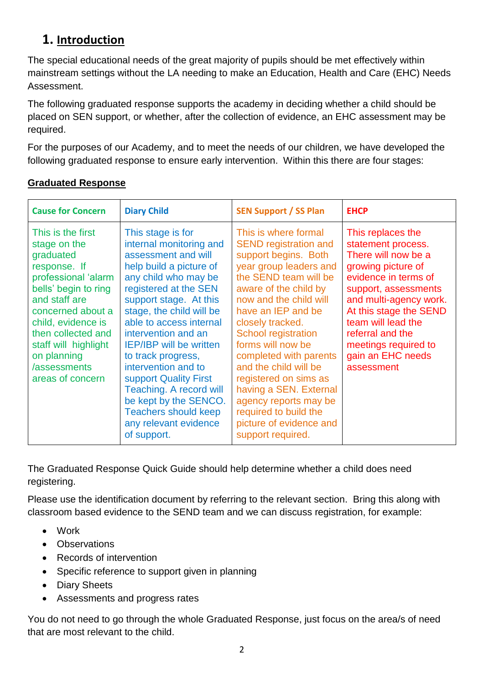## **1. Introduction**

The special educational needs of the great majority of pupils should be met effectively within mainstream settings without the LA needing to make an Education, Health and Care (EHC) Needs Assessment.

The following graduated response supports the academy in deciding whether a child should be placed on SEN support, or whether, after the collection of evidence, an EHC assessment may be required.

For the purposes of our Academy, and to meet the needs of our children, we have developed the following graduated response to ensure early intervention. Within this there are four stages:

| <b>Cause for Concern</b>                                                                                                                                                                                                                                                   | <b>Diary Child</b>                                                                                                                                                                                                                                                                                                                                                                                                                                                                                | <b>SEN Support / SS Plan</b>                                                                                                                                                                                                                                                                                                                                                                                                                                                            | <b>EHCP</b>                                                                                                                                                                                                                                                                                   |
|----------------------------------------------------------------------------------------------------------------------------------------------------------------------------------------------------------------------------------------------------------------------------|---------------------------------------------------------------------------------------------------------------------------------------------------------------------------------------------------------------------------------------------------------------------------------------------------------------------------------------------------------------------------------------------------------------------------------------------------------------------------------------------------|-----------------------------------------------------------------------------------------------------------------------------------------------------------------------------------------------------------------------------------------------------------------------------------------------------------------------------------------------------------------------------------------------------------------------------------------------------------------------------------------|-----------------------------------------------------------------------------------------------------------------------------------------------------------------------------------------------------------------------------------------------------------------------------------------------|
| This is the first<br>stage on the<br>graduated<br>response. If<br>professional 'alarm<br>bells' begin to ring<br>and staff are<br>concerned about a<br>child, evidence is<br>then collected and<br>staff will highlight<br>on planning<br>/assessments<br>areas of concern | This stage is for<br>internal monitoring and<br>assessment and will<br>help build a picture of<br>any child who may be<br>registered at the SEN<br>support stage. At this<br>stage, the child will be<br>able to access internal<br>intervention and an<br><b>IEP/IBP</b> will be written<br>to track progress,<br>intervention and to<br>support Quality First<br><b>Teaching. A record will</b><br>be kept by the SENCO.<br><b>Teachers should keep</b><br>any relevant evidence<br>of support. | This is where formal<br><b>SEND registration and</b><br>support begins. Both<br>year group leaders and<br>the SEND team will be<br>aware of the child by<br>now and the child will<br>have an IEP and be<br>closely tracked.<br><b>School registration</b><br>forms will now be<br>completed with parents<br>and the child will be<br>registered on sims as<br>having a SEN. External<br>agency reports may be<br>required to build the<br>picture of evidence and<br>support required. | This replaces the<br>statement process.<br>There will now be a<br>growing picture of<br>evidence in terms of<br>support, assessments<br>and multi-agency work.<br>At this stage the SEND<br>team will lead the<br>referral and the<br>meetings required to<br>gain an EHC needs<br>assessment |

#### **Graduated Response**

The Graduated Response Quick Guide should help determine whether a child does need registering.

Please use the identification document by referring to the relevant section. Bring this along with classroom based evidence to the SEND team and we can discuss registration, for example:

- Work
- Observations
- Records of intervention
- Specific reference to support given in planning
- Diary Sheets
- Assessments and progress rates

You do not need to go through the whole Graduated Response, just focus on the area/s of need that are most relevant to the child.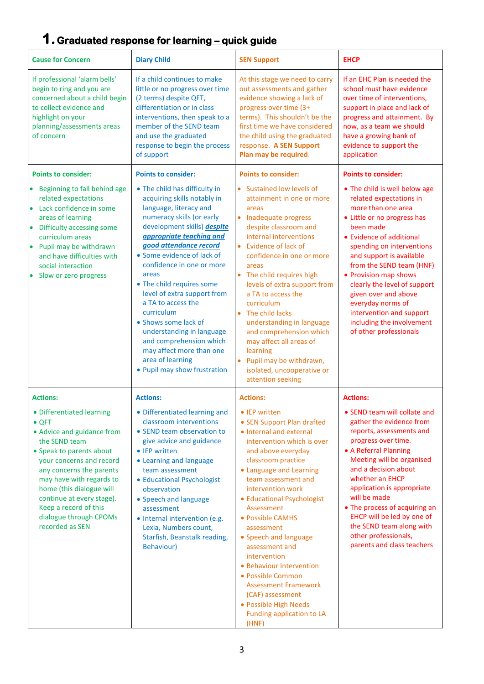# **1.Graduated response for learning – quick guide**

| <b>Cause for Concern</b>                                                                                                                                                                                                                                                                                                                 | <b>Diary Child</b>                                                                                                                                                                                                                                                                                                                                                                                                                                                                                                                           | <b>SEN Support</b>                                                                                                                                                                                                                                                                                                                                                                                                                                                                                                                  | <b>EHCP</b>                                                                                                                                                                                                                                                                                                                                                                                                                          |
|------------------------------------------------------------------------------------------------------------------------------------------------------------------------------------------------------------------------------------------------------------------------------------------------------------------------------------------|----------------------------------------------------------------------------------------------------------------------------------------------------------------------------------------------------------------------------------------------------------------------------------------------------------------------------------------------------------------------------------------------------------------------------------------------------------------------------------------------------------------------------------------------|-------------------------------------------------------------------------------------------------------------------------------------------------------------------------------------------------------------------------------------------------------------------------------------------------------------------------------------------------------------------------------------------------------------------------------------------------------------------------------------------------------------------------------------|--------------------------------------------------------------------------------------------------------------------------------------------------------------------------------------------------------------------------------------------------------------------------------------------------------------------------------------------------------------------------------------------------------------------------------------|
| If professional 'alarm bells'<br>begin to ring and you are<br>concerned about a child begin<br>to collect evidence and<br>highlight on your<br>planning/assessments areas<br>of concern                                                                                                                                                  | If a child continues to make<br>little or no progress over time<br>(2 terms) despite QFT,<br>differentiation or in class<br>interventions, then speak to a<br>member of the SEND team<br>and use the graduated<br>response to begin the process<br>of support                                                                                                                                                                                                                                                                                | At this stage we need to carry<br>out assessments and gather<br>evidence showing a lack of<br>progress over time (3+<br>terms). This shouldn't be the<br>first time we have considered<br>the child using the graduated<br>response. A SEN Support<br>Plan may be required.                                                                                                                                                                                                                                                         | If an EHC Plan is needed the<br>school must have evidence<br>over time of interventions,<br>support in place and lack of<br>progress and attainment. By<br>now, as a team we should<br>have a growing bank of<br>evidence to support the<br>application                                                                                                                                                                              |
| <b>Points to consider:</b>                                                                                                                                                                                                                                                                                                               | <b>Points to consider:</b>                                                                                                                                                                                                                                                                                                                                                                                                                                                                                                                   | <b>Points to consider:</b>                                                                                                                                                                                                                                                                                                                                                                                                                                                                                                          | <b>Points to consider:</b>                                                                                                                                                                                                                                                                                                                                                                                                           |
| Beginning to fall behind age<br>related expectations<br>Lack confidence in some<br>areas of learning<br>Difficulty accessing some<br>curriculum areas<br>Pupil may be withdrawn<br>and have difficulties with<br>social interaction<br>Slow or zero progress                                                                             | • The child has difficulty in<br>acquiring skills notably in<br>language, literacy and<br>numeracy skills (or early<br>development skills) despite<br>appropriate teaching and<br>good attendance record<br>• Some evidence of lack of<br>confidence in one or more<br>areas<br>• The child requires some<br>level of extra support from<br>a TA to access the<br>curriculum<br>• Shows some lack of<br>understanding in language<br>and comprehension which<br>may affect more than one<br>area of learning<br>• Pupil may show frustration | • Sustained low levels of<br>attainment in one or more<br>areas<br>• Inadequate progress<br>despite classroom and<br>internal interventions<br>• Evidence of lack of<br>confidence in one or more<br>areas<br>• The child requires high<br>levels of extra support from<br>a TA to access the<br>curriculum<br>• The child lacks<br>understanding in language<br>and comprehension which<br>may affect all areas of<br>learning<br>Pupil may be withdrawn,<br>$\bullet$<br>isolated, uncooperative or<br>attention seeking          | • The child is well below age<br>related expectations in<br>more than one area<br>• Little or no progress has<br>been made<br>• Evidence of additional<br>spending on interventions<br>and support is available<br>from the SEND team (HNF)<br>• Provision map shows<br>clearly the level of support<br>given over and above<br>everyday norms of<br>intervention and support<br>including the involvement<br>of other professionals |
| <b>Actions:</b>                                                                                                                                                                                                                                                                                                                          | <b>Actions:</b>                                                                                                                                                                                                                                                                                                                                                                                                                                                                                                                              | <b>Actions:</b>                                                                                                                                                                                                                                                                                                                                                                                                                                                                                                                     | <b>Actions:</b>                                                                                                                                                                                                                                                                                                                                                                                                                      |
| • Differentiated learning<br>$\bullet$ QFT<br>• Advice and guidance from<br>the SEND team<br>• Speak to parents about<br>your concerns and record<br>any concerns the parents<br>may have with regards to<br>home (this dialogue will<br>continue at every stage).<br>Keep a record of this<br>dialogue through CPOMs<br>recorded as SEN | • Differentiated learning and<br>classroom interventions<br>• SEND team observation to<br>give advice and guidance<br>• IEP written<br>• Learning and language<br>team assessment<br>• Educational Psychologist<br>observation<br>• Speech and language<br>assessment<br>• Internal intervention (e.g.<br>Lexia, Numbers count,<br>Starfish, Beanstalk reading,<br>Behaviour)                                                                                                                                                                | • IEP written<br>• SEN Support Plan drafted<br>• Internal and external<br>intervention which is over<br>and above everyday<br>classroom practice<br>• Language and Learning<br>team assessment and<br>intervention work<br>• Educational Psychologist<br>Assessment<br>• Possible CAMHS<br>assessment<br>• Speech and language<br>assessment and<br>intervention<br>• Behaviour Intervention<br>• Possible Common<br><b>Assessment Framework</b><br>(CAF) assessment<br>• Possible High Needs<br>Funding application to LA<br>(HNF) | • SEND team will collate and<br>gather the evidence from<br>reports, assessments and<br>progress over time.<br>• A Referral Planning<br>Meeting will be organised<br>and a decision about<br>whether an EHCP<br>application is appropriate<br>will be made<br>• The process of acquiring an<br>EHCP will be led by one of<br>the SEND team along with<br>other professionals,<br>parents and class teachers                          |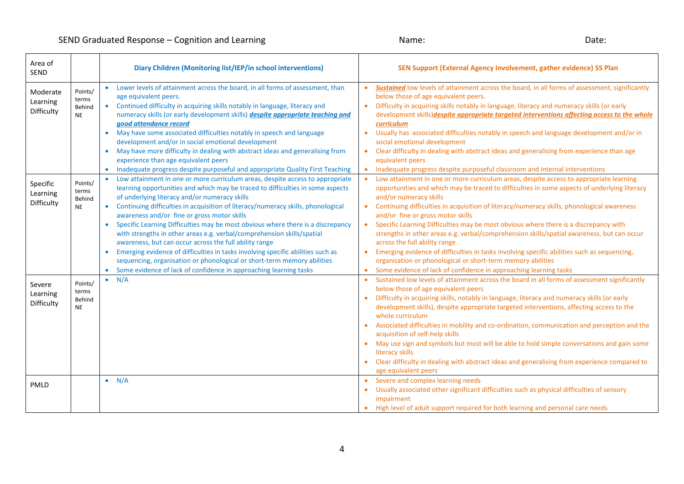| Area of<br><b>SEND</b>             |                                         | Diary Children (Monitoring list/IEP/in school interventions)                                                                                                                                                                                                                                                                                                                                                                                                                                                                                                                                                                                                                                                                                                                                                                                         | SEN Support (External Agency Involvement, gather evidence) SS Plan                                                                                                                                                                                                                                                                                                                                                                                                                                                                                                                                                                                                                                                                                                                                                                                                |
|------------------------------------|-----------------------------------------|------------------------------------------------------------------------------------------------------------------------------------------------------------------------------------------------------------------------------------------------------------------------------------------------------------------------------------------------------------------------------------------------------------------------------------------------------------------------------------------------------------------------------------------------------------------------------------------------------------------------------------------------------------------------------------------------------------------------------------------------------------------------------------------------------------------------------------------------------|-------------------------------------------------------------------------------------------------------------------------------------------------------------------------------------------------------------------------------------------------------------------------------------------------------------------------------------------------------------------------------------------------------------------------------------------------------------------------------------------------------------------------------------------------------------------------------------------------------------------------------------------------------------------------------------------------------------------------------------------------------------------------------------------------------------------------------------------------------------------|
| Moderate<br>Learning<br>Difficulty | Points/<br>terms<br>Behind<br><b>NE</b> | Lower levels of attainment across the board, in all forms of assessment, than<br>$\bullet$<br>age equivalent peers.<br>Continued difficulty in acquiring skills notably in language, literacy and<br>$\bullet$<br>numeracy skills (or early development skills) despite appropriate teaching and<br>good attendance record<br>May have some associated difficulties notably in speech and language<br>development and/or in social emotional development<br>May have more difficulty in dealing with abstract ideas and generalising from<br>$\bullet$<br>experience than age equivalent peers<br>Inadequate progress despite purposeful and appropriate Quality First Teaching<br>$\bullet$                                                                                                                                                         | Sustained low levels of attainment across the board, in all forms of assessment, significantly<br>$\bullet$<br>below those of age equivalent peers.<br>Difficulty in acquiring skills notably in language, literacy and numeracy skills (or early<br>$\bullet$<br>development skills) despite appropriate targeted interventions affecting access to the whole<br>curriculum<br>Usually has associated difficulties notably in speech and language development and/or in<br>$\bullet$<br>social emotional development<br>Clear difficulty in dealing with abstract ideas and generalising from experience than age<br>$\bullet$<br>equivalent peers<br>Inadequate progress despite purposeful classroom and internal interventions<br>$\bullet$                                                                                                                   |
| Specific<br>Learning<br>Difficulty | Points/<br>terms<br>Behind<br><b>NE</b> | Low attainment in one or more curriculum areas, despite access to appropriate<br>$\bullet$<br>learning opportunities and which may be traced to difficulties in some aspects<br>of underlying literacy and/or numeracy skills<br>Continuing difficulties in acquisition of literacy/numeracy skills, phonological<br>$\bullet$<br>awareness and/or fine or gross motor skills<br>Specific Learning Difficulties may be most obvious where there is a discrepancy<br>with strengths in other areas e.g. verbal/comprehension skills/spatial<br>awareness, but can occur across the full ability range<br>Emerging evidence of difficulties in tasks involving specific abilities such as<br>sequencing, organisation or phonological or short-term memory abilities<br>Some evidence of lack of confidence in approaching learning tasks<br>$\bullet$ | Low attainment in one or more curriculum areas, despite access to appropriate learning<br>$\bullet$<br>opportunities and which may be traced to difficulties in some aspects of underlying literacy<br>and/or numeracy skills<br>Continuing difficulties in acquisition of literacy/numeracy skills, phonological awareness<br>$\bullet$<br>and/or fine or gross motor skills<br>Specific Learning Difficulties may be most obvious where there is a discrepancy with<br>$\bullet$<br>strengths in other areas e.g. verbal/comprehension skills/spatial awareness, but can occur<br>across the full ability range<br>Emerging evidence of difficulties in tasks involving specific abilities such as sequencing,<br>$\bullet$<br>organisation or phonological or short-term memory abilities<br>Some evidence of lack of confidence in approaching learning tasks |
| Severe<br>Learning<br>Difficulty   | Points/<br>terms<br>Behind<br><b>NE</b> | N/A<br>$\bullet$                                                                                                                                                                                                                                                                                                                                                                                                                                                                                                                                                                                                                                                                                                                                                                                                                                     | Sustained low levels of attainment across the board in all forms of assessment significantly<br>below those of age equivalent peers<br>Difficulty in acquiring skills, notably in language, literacy and numeracy skills (or early<br>$\bullet$<br>development skills), despite appropriate targeted interventions, affecting access to the<br>whole curriculum<br>Associated difficulties in mobility and co-ordination, communication and perception and the<br>acquisition of self-help skills<br>May use sign and symbols but most will be able to hold simple conversations and gain some<br>$\bullet$<br>literacy skills<br>Clear difficulty in dealing with abstract ideas and generalising from experience compared to<br>age equivalent peers                                                                                                            |
| PMLD                               |                                         | $\bullet$ N/A                                                                                                                                                                                                                                                                                                                                                                                                                                                                                                                                                                                                                                                                                                                                                                                                                                        | • Severe and complex learning needs<br>Usually associated other significant difficulties such as physical difficulties of sensory<br>impairment<br>• High level of adult support required for both learning and personal care needs                                                                                                                                                                                                                                                                                                                                                                                                                                                                                                                                                                                                                               |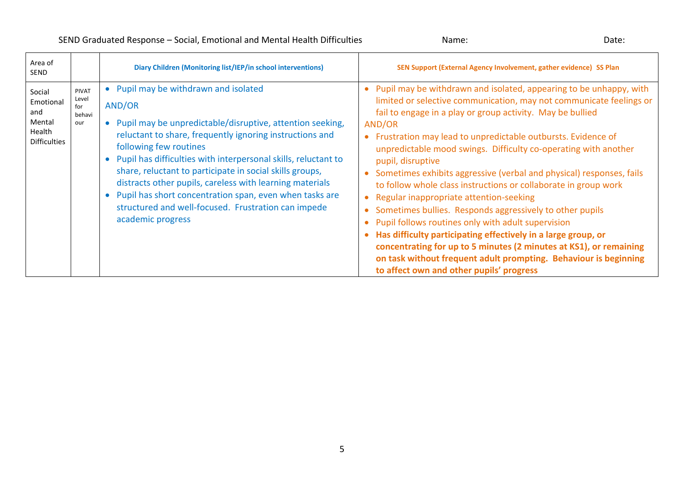| Area of<br><b>SEND</b>                                                |                                               | Diary Children (Monitoring list/IEP/in school interventions)                                                                                                                                                                                                                                                                                                                                                                                                                                                                              | SEN Support (External Agency Involvement, gather evidence) SS Plan                                                                                                                                                                                                                                                                                                                                                                                                                                                                                                                                                                                                                                                                                                                                                                                                                                                                                                 |
|-----------------------------------------------------------------------|-----------------------------------------------|-------------------------------------------------------------------------------------------------------------------------------------------------------------------------------------------------------------------------------------------------------------------------------------------------------------------------------------------------------------------------------------------------------------------------------------------------------------------------------------------------------------------------------------------|--------------------------------------------------------------------------------------------------------------------------------------------------------------------------------------------------------------------------------------------------------------------------------------------------------------------------------------------------------------------------------------------------------------------------------------------------------------------------------------------------------------------------------------------------------------------------------------------------------------------------------------------------------------------------------------------------------------------------------------------------------------------------------------------------------------------------------------------------------------------------------------------------------------------------------------------------------------------|
| Social<br>Emotional<br>and<br>Mental<br>Health<br><b>Difficulties</b> | <b>PIVAT</b><br>Level<br>for<br>behavi<br>our | • Pupil may be withdrawn and isolated<br>AND/OR<br>• Pupil may be unpredictable/disruptive, attention seeking,<br>reluctant to share, frequently ignoring instructions and<br>following few routines<br>• Pupil has difficulties with interpersonal skills, reluctant to<br>share, reluctant to participate in social skills groups,<br>distracts other pupils, careless with learning materials<br>• Pupil has short concentration span, even when tasks are<br>structured and well-focused. Frustration can impede<br>academic progress | Pupil may be withdrawn and isolated, appearing to be unhappy, with<br>$\bullet$<br>limited or selective communication, may not communicate feelings or<br>fail to engage in a play or group activity. May be bullied<br>AND/OR<br>Frustration may lead to unpredictable outbursts. Evidence of<br>unpredictable mood swings. Difficulty co-operating with another<br>pupil, disruptive<br>Sometimes exhibits aggressive (verbal and physical) responses, fails<br>to follow whole class instructions or collaborate in group work<br>Regular inappropriate attention-seeking<br>Sometimes bullies. Responds aggressively to other pupils<br>$\bullet$<br>Pupil follows routines only with adult supervision<br>Has difficulty participating effectively in a large group, or<br>concentrating for up to 5 minutes (2 minutes at KS1), or remaining<br>on task without frequent adult prompting. Behaviour is beginning<br>to affect own and other pupils' progress |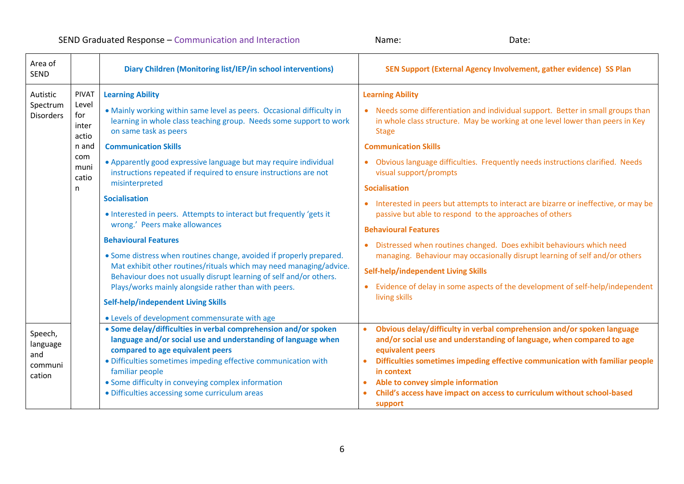| Area of<br><b>SEND</b>                          |                                                                                      | Diary Children (Monitoring list/IEP/in school interventions)                                                                                                                                                                                                                                                                                                                                                                                                                                                                                                                                                                                                                                                                                                                                                                                                                                                                      | SEN Support (External Agency Involvement, gather evidence) SS Plan                                                                                                                                                                                                                                                                                                                                                                                                                                                                                                                                                                                                                                                                                                                                                                                                     |
|-------------------------------------------------|--------------------------------------------------------------------------------------|-----------------------------------------------------------------------------------------------------------------------------------------------------------------------------------------------------------------------------------------------------------------------------------------------------------------------------------------------------------------------------------------------------------------------------------------------------------------------------------------------------------------------------------------------------------------------------------------------------------------------------------------------------------------------------------------------------------------------------------------------------------------------------------------------------------------------------------------------------------------------------------------------------------------------------------|------------------------------------------------------------------------------------------------------------------------------------------------------------------------------------------------------------------------------------------------------------------------------------------------------------------------------------------------------------------------------------------------------------------------------------------------------------------------------------------------------------------------------------------------------------------------------------------------------------------------------------------------------------------------------------------------------------------------------------------------------------------------------------------------------------------------------------------------------------------------|
| Autistic<br>Spectrum<br><b>Disorders</b>        | <b>PIVAT</b><br>Level<br>for<br>inter<br>actio<br>n and<br>com<br>muni<br>catio<br>n | <b>Learning Ability</b><br>. Mainly working within same level as peers. Occasional difficulty in<br>learning in whole class teaching group. Needs some support to work<br>on same task as peers<br><b>Communication Skills</b><br>• Apparently good expressive language but may require individual<br>instructions repeated if required to ensure instructions are not<br>misinterpreted<br><b>Socialisation</b><br>. Interested in peers. Attempts to interact but frequently 'gets it<br>wrong.' Peers make allowances<br><b>Behavioural Features</b><br>• Some distress when routines change, avoided if properly prepared.<br>Mat exhibit other routines/rituals which may need managing/advice.<br>Behaviour does not usually disrupt learning of self and/or others.<br>Plays/works mainly alongside rather than with peers.<br><b>Self-help/independent Living Skills</b><br>• Levels of development commensurate with age | <b>Learning Ability</b><br>• Needs some differentiation and individual support. Better in small groups than<br>in whole class structure. May be working at one level lower than peers in Key<br><b>Stage</b><br><b>Communication Skills</b><br>• Obvious language difficulties. Frequently needs instructions clarified. Needs<br>visual support/prompts<br><b>Socialisation</b><br>• Interested in peers but attempts to interact are bizarre or ineffective, or may be<br>passive but able to respond to the approaches of others<br><b>Behavioural Features</b><br>• Distressed when routines changed. Does exhibit behaviours which need<br>managing. Behaviour may occasionally disrupt learning of self and/or others<br>Self-help/independent Living Skills<br>• Evidence of delay in some aspects of the development of self-help/independent<br>living skills |
| Speech,<br>language<br>and<br>communi<br>cation |                                                                                      | • Some delay/difficulties in verbal comprehension and/or spoken<br>language and/or social use and understanding of language when<br>compared to age equivalent peers<br>· Difficulties sometimes impeding effective communication with<br>familiar people<br>• Some difficulty in conveying complex information<br>• Difficulties accessing some curriculum areas                                                                                                                                                                                                                                                                                                                                                                                                                                                                                                                                                                 | Obvious delay/difficulty in verbal comprehension and/or spoken language<br>and/or social use and understanding of language, when compared to age<br>equivalent peers<br>Difficulties sometimes impeding effective communication with familiar people<br>in context<br>Able to convey simple information<br>Child's access have impact on access to curriculum without school-based<br>support                                                                                                                                                                                                                                                                                                                                                                                                                                                                          |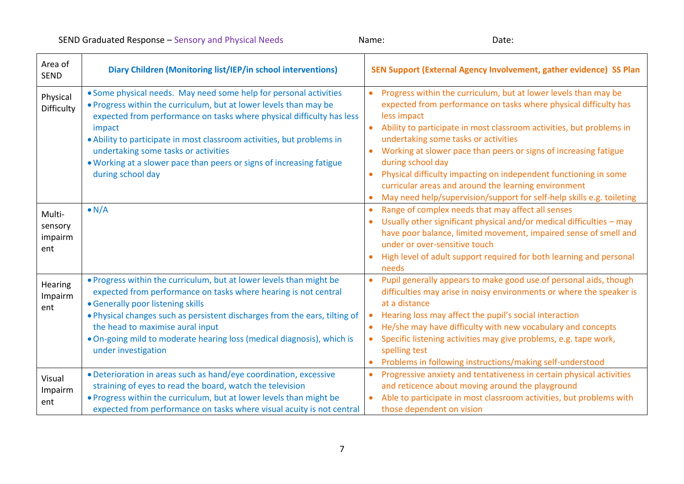| Area of<br><b>SEND</b>              | Diary Children (Monitoring list/IEP/in school interventions)                                                                                                                                                                                                                                                                                                                                                                             | SEN Support (External Agency Involvement, gather evidence) SS Plan                                                                                                                                                                                                                                                                                                                                                                                                                                                                                               |
|-------------------------------------|------------------------------------------------------------------------------------------------------------------------------------------------------------------------------------------------------------------------------------------------------------------------------------------------------------------------------------------------------------------------------------------------------------------------------------------|------------------------------------------------------------------------------------------------------------------------------------------------------------------------------------------------------------------------------------------------------------------------------------------------------------------------------------------------------------------------------------------------------------------------------------------------------------------------------------------------------------------------------------------------------------------|
| Physical<br>Difficulty              | • Some physical needs. May need some help for personal activities<br>. Progress within the curriculum, but at lower levels than may be<br>expected from performance on tasks where physical difficulty has less<br>impact<br>• Ability to participate in most classroom activities, but problems in<br>undertaking some tasks or activities<br>. Working at a slower pace than peers or signs of increasing fatigue<br>during school day | Progress within the curriculum, but at lower levels than may be<br>expected from performance on tasks where physical difficulty has<br>less impact<br>Ability to participate in most classroom activities, but problems in<br>undertaking some tasks or activities<br>Working at slower pace than peers or signs of increasing fatigue<br>during school day<br>Physical difficulty impacting on independent functioning in some<br>curricular areas and around the learning environment<br>May need help/supervision/support for self-help skills e.g. toileting |
| Multi-<br>sensory<br>impairm<br>ent | $\bullet$ N/A                                                                                                                                                                                                                                                                                                                                                                                                                            | Range of complex needs that may affect all senses<br>Usually other significant physical and/or medical difficulties - may<br>have poor balance, limited movement, impaired sense of smell and<br>under or over-sensitive touch<br>High level of adult support required for both learning and personal<br>needs                                                                                                                                                                                                                                                   |
| Hearing<br>Impairm<br>ent           | . Progress within the curriculum, but at lower levels than might be<br>expected from performance on tasks where hearing is not central<br>• Generally poor listening skills<br>. Physical changes such as persistent discharges from the ears, tilting of<br>the head to maximise aural input<br>. On-going mild to moderate hearing loss (medical diagnosis), which is<br>under investigation                                           | Pupil generally appears to make good use of personal aids, though<br>difficulties may arise in noisy environments or where the speaker is<br>at a distance<br>Hearing loss may affect the pupil's social interaction<br>He/she may have difficulty with new vocabulary and concepts<br>$\bullet$<br>Specific listening activities may give problems, e.g. tape work,<br>spelling test<br>Problems in following instructions/making self-understood                                                                                                               |
| Visual<br>Impairm<br>ent            | · Deterioration in areas such as hand/eye coordination, excessive<br>straining of eyes to read the board, watch the television<br>. Progress within the curriculum, but at lower levels than might be<br>expected from performance on tasks where visual acuity is not central                                                                                                                                                           | Progressive anxiety and tentativeness in certain physical activities<br>$\bullet$<br>and reticence about moving around the playground<br>Able to participate in most classroom activities, but problems with<br>$\bullet$<br>those dependent on vision                                                                                                                                                                                                                                                                                                           |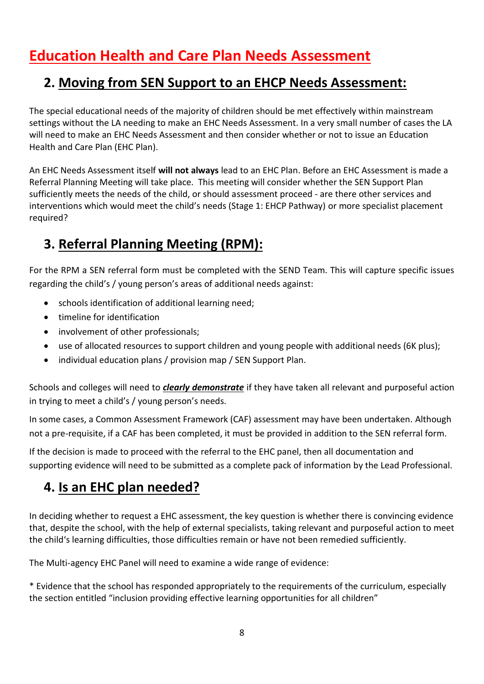# **Education Health and Care Plan Needs Assessment**

# **2. Moving from SEN Support to an EHCP Needs Assessment:**

The special educational needs of the majority of children should be met effectively within mainstream settings without the LA needing to make an EHC Needs Assessment. In a very small number of cases the LA will need to make an EHC Needs Assessment and then consider whether or not to issue an Education Health and Care Plan (EHC Plan).

An EHC Needs Assessment itself **will not always** lead to an EHC Plan. Before an EHC Assessment is made a Referral Planning Meeting will take place. This meeting will consider whether the SEN Support Plan sufficiently meets the needs of the child, or should assessment proceed - are there other services and interventions which would meet the child's needs (Stage 1: EHCP Pathway) or more specialist placement required?

# **3. Referral Planning Meeting (RPM):**

For the RPM a SEN referral form must be completed with the SEND Team. This will capture specific issues regarding the child's / young person's areas of additional needs against:

- schools identification of additional learning need;
- timeline for identification
- involvement of other professionals;
- use of allocated resources to support children and young people with additional needs (6K plus);
- individual education plans / provision map / SEN Support Plan.

Schools and colleges will need to *clearly demonstrate* if they have taken all relevant and purposeful action in trying to meet a child's / young person's needs.

In some cases, a Common Assessment Framework (CAF) assessment may have been undertaken. Although not a pre-requisite, if a CAF has been completed, it must be provided in addition to the SEN referral form.

If the decision is made to proceed with the referral to the EHC panel, then all documentation and supporting evidence will need to be submitted as a complete pack of information by the Lead Professional.

# **4. Is an EHC plan needed?**

In deciding whether to request a EHC assessment, the key question is whether there is convincing evidence that, despite the school, with the help of external specialists, taking relevant and purposeful action to meet the child's learning difficulties, those difficulties remain or have not been remedied sufficiently.

The Multi-agency EHC Panel will need to examine a wide range of evidence:

\* Evidence that the school has responded appropriately to the requirements of the curriculum, especially the section entitled "inclusion providing effective learning opportunities for all children"